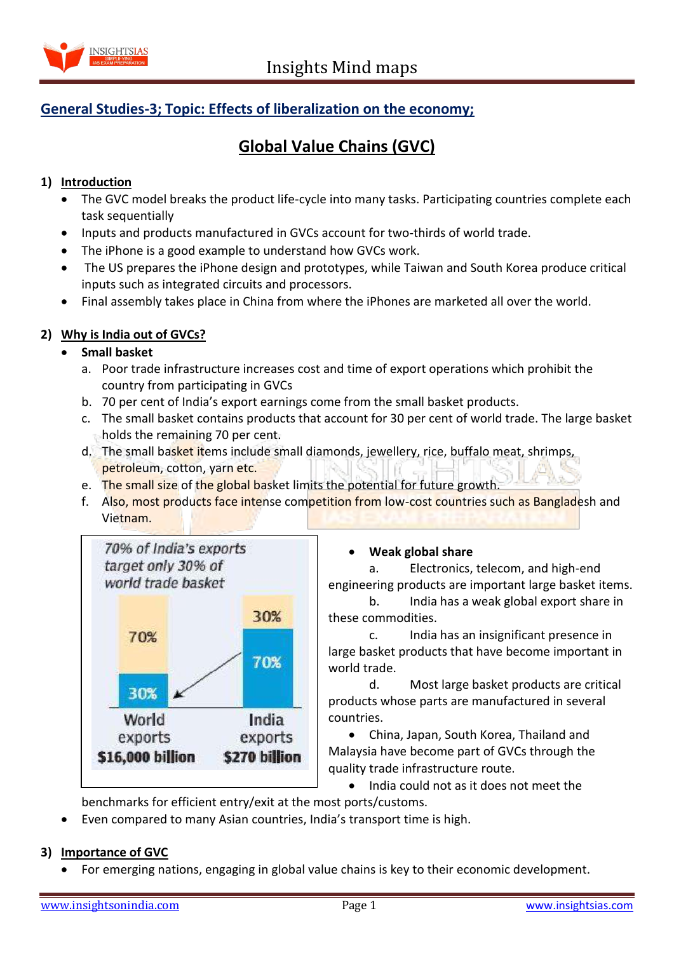

## **General Studies-3; Topic: Effects of liberalization on the economy;**

# **Global Value Chains (GVC)**

#### **1) Introduction**

- The GVC model breaks the product life-cycle into many tasks. Participating countries complete each task sequentially
- Inputs and products manufactured in GVCs account for two-thirds of world trade.
- The iPhone is a good example to understand how GVCs work.
- The US prepares the iPhone design and prototypes, while Taiwan and South Korea produce critical inputs such as integrated circuits and processors.
- Final assembly takes place in China from where the iPhones are marketed all over the world.

#### **2) Why is India out of GVCs?**

#### **Small basket**

- a. Poor trade infrastructure increases cost and time of export operations which prohibit the country from participating in GVCs
- b. 70 per cent of India's export earnings come from the small basket products.
- c. The small basket contains products that account for 30 per cent of world trade. The large basket holds the remaining 70 per cent.
- d. The small basket items include small diamonds, jewellery, rice, buffalo meat, shrimps, petroleum, cotton, yarn etc.
- e. The small size of the global basket limits the potential for future growth.
- f. Also, most products face intense competition from low-cost countries such as Bangladesh and Vietnam.



#### **Weak global share**

a. Electronics, telecom, and high-end engineering products are important large basket items.

b. India has a weak global export share in these commodities.

c. India has an insignificant presence in large basket products that have become important in world trade.

d. Most large basket products are critical products whose parts are manufactured in several countries.

 China, Japan, South Korea, Thailand and Malaysia have become part of GVCs through the quality trade infrastructure route.

India could not as it does not meet the

benchmarks for efficient entry/exit at the most ports/customs.

Even compared to many Asian countries, India's transport time is high.

## **3) Importance of GVC**

For emerging nations, engaging in global value chains is key to their economic development.